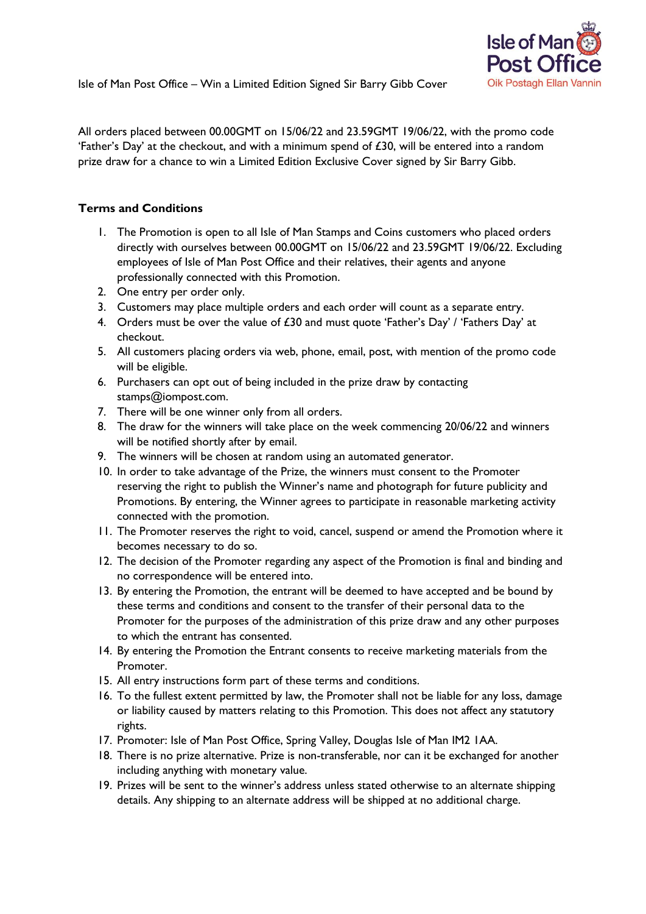

All orders placed between 00.00GMT on 15/06/22 and 23.59GMT 19/06/22, with the promo code 'Father's Day' at the checkout, and with a minimum spend of  $£30$ , will be entered into a random prize draw for a chance to win a Limited Edition Exclusive Cover signed by Sir Barry Gibb.

## **Terms and Conditions**

- 1. The Promotion is open to all Isle of Man Stamps and Coins customers who placed orders directly with ourselves between 00.00GMT on 15/06/22 and 23.59GMT 19/06/22. Excluding employees of Isle of Man Post Office and their relatives, their agents and anyone professionally connected with this Promotion.
- 2. One entry per order only.
- 3. Customers may place multiple orders and each order will count as a separate entry.
- 4. Orders must be over the value of £30 and must quote 'Father's Day' / 'Fathers Day' at checkout.
- 5. All customers placing orders via web, phone, email, post, with mention of the promo code will be eligible.
- 6. Purchasers can opt out of being included in the prize draw by contacting stamps@iompost.com.
- 7. There will be one winner only from all orders.
- 8. The draw for the winners will take place on the week commencing 20/06/22 and winners will be notified shortly after by email.
- 9. The winners will be chosen at random using an automated generator.
- 10. In order to take advantage of the Prize, the winners must consent to the Promoter reserving the right to publish the Winner's name and photograph for future publicity and Promotions. By entering, the Winner agrees to participate in reasonable marketing activity connected with the promotion.
- 11. The Promoter reserves the right to void, cancel, suspend or amend the Promotion where it becomes necessary to do so.
- 12. The decision of the Promoter regarding any aspect of the Promotion is final and binding and no correspondence will be entered into.
- 13. By entering the Promotion, the entrant will be deemed to have accepted and be bound by these terms and conditions and consent to the transfer of their personal data to the Promoter for the purposes of the administration of this prize draw and any other purposes to which the entrant has consented.
- 14. By entering the Promotion the Entrant consents to receive marketing materials from the Promoter.
- 15. All entry instructions form part of these terms and conditions.
- 16. To the fullest extent permitted by law, the Promoter shall not be liable for any loss, damage or liability caused by matters relating to this Promotion. This does not affect any statutory rights.
- 17. Promoter: Isle of Man Post Office, Spring Valley, Douglas Isle of Man IM2 1AA.
- 18. There is no prize alternative. Prize is non-transferable, nor can it be exchanged for another including anything with monetary value.
- 19. Prizes will be sent to the winner's address unless stated otherwise to an alternate shipping details. Any shipping to an alternate address will be shipped at no additional charge.